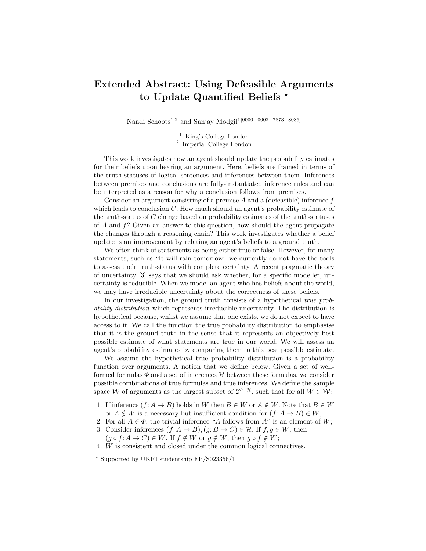## Extended Abstract: Using Defeasible Arguments to Update Quantified Beliefs \*

Nandi Schoots<sup>1,2</sup> and Sanjay Modgil<sup>1[0000–0002–7873–8086]</sup>

<sup>1</sup> King's College London 2 Imperial College London

This work investigates how an agent should update the probability estimates for their beliefs upon hearing an argument. Here, beliefs are framed in terms of the truth-statuses of logical sentences and inferences between them. Inferences between premises and conclusions are fully-instantiated inference rules and can be interpreted as a reason for why a conclusion follows from premises.

Consider an argument consisting of a premise  $A$  and a (defeasible) inference  $f$ which leads to conclusion  $C$ . How much should an agent's probability estimate of the truth-status of C change based on probability estimates of the truth-statuses of  $A$  and  $f$ ? Given an answer to this question, how should the agent propagate the changes through a reasoning chain? This work investigates whether a belief update is an improvement by relating an agent's beliefs to a ground truth.

We often think of statements as being either true or false. However, for many statements, such as "It will rain tomorrow" we currently do not have the tools to assess their truth-status with complete certainty. A recent pragmatic theory of uncertainty [3] says that we should ask whether, for a specific modeller, uncertainty is reducible. When we model an agent who has beliefs about the world, we may have irreducible uncertainty about the correctness of these beliefs.

In our investigation, the ground truth consists of a hypothetical true probability distribution which represents irreducible uncertainty. The distribution is hypothetical because, whilst we assume that one exists, we do not expect to have access to it. We call the function the true probability distribution to emphasise that it is the ground truth in the sense that it represents an objectively best possible estimate of what statements are true in our world. We will assess an agent's probability estimates by comparing them to this best possible estimate.

We assume the hypothetical true probability distribution is a probability function over arguments. A notion that we define below. Given a set of wellformed formulas  $\Phi$  and a set of inferences  $\mathcal H$  between these formulas, we consider possible combinations of true formulas and true inferences. We define the sample space W of arguments as the largest subset of  $2^{\Phi \sqcup \mathcal{H}}$ , such that for all  $W \in \mathcal{W}$ :

- 1. If inference  $(f: A \to B)$  holds in W then  $B \in W$  or  $A \notin W$ . Note that  $B \in W$ or  $A \notin W$  is a necessary but insufficient condition for  $(f: A \to B) \in W$ ;
- 2. For all  $A \in \Phi$ , the trivial inference "A follows from A" is an element of W;
- 3. Consider inferences  $(f: A \to B)$ ,  $(g: B \to C) \in \mathcal{H}$ . If  $f, g \in W$ , then
	- $(g \circ f: A \to C) \in W$ . If  $f \notin W$  or  $g \notin W$ , then  $g \circ f \notin W$ ;

4. W is consistent and closed under the common logical connectives.

 $\star$  Supported by UKRI studentship EP/S023356/1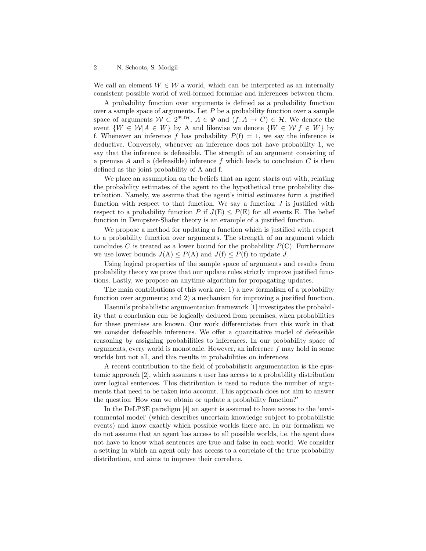## 2 N. Schoots, S. Modgil

We call an element  $W \in \mathcal{W}$  a world, which can be interpreted as an internally consistent possible world of well-formed formulae and inferences between them.

A probability function over arguments is defined as a probability function over a sample space of arguments. Let  $P$  be a probability function over a sample space of arguments  $W \subset 2^{\Phi \sqcup \mathcal{H}}$ ,  $A \in \Phi$  and  $(f: A \to C) \in \mathcal{H}$ . We denote the event  $\{W \in \mathcal{W} | A \in W\}$  by A and likewise we denote  $\{W \in \mathcal{W} | f \in W\}$  by f. Whenever an inference f has probability  $P(f) = 1$ , we say the inference is deductive. Conversely, whenever an inference does not have probability 1, we say that the inference is defeasible. The strength of an argument consisting of a premise A and a (defeasible) inference f which leads to conclusion  $C$  is then defined as the joint probability of A and f.

We place an assumption on the beliefs that an agent starts out with, relating the probability estimates of the agent to the hypothetical true probability distribution. Namely, we assume that the agent's initial estimates form a justified function with respect to that function. We say a function  $J$  is justified with respect to a probability function P if  $J(E) \leq P(E)$  for all events E. The belief function in Dempster-Shafer theory is an example of a justified function.

We propose a method for updating a function which is justified with respect to a probability function over arguments. The strength of an argument which concludes C is treated as a lower bound for the probability  $P(C)$ . Furthermore we use lower bounds  $J(A) \leq P(A)$  and  $J(f) \leq P(f)$  to update J.

Using logical properties of the sample space of arguments and results from probability theory we prove that our update rules strictly improve justified functions. Lastly, we propose an anytime algorithm for propagating updates.

The main contributions of this work are: 1) a new formalism of a probability function over arguments; and 2) a mechanism for improving a justified function.

Haenni's probabilistic argumentation framework [1] investigates the probability that a conclusion can be logically deduced from premises, when probabilities for these premises are known. Our work differentiates from this work in that we consider defeasible inferences. We offer a quantitative model of defeasible reasoning by assigning probabilities to inferences. In our probability space of arguments, every world is monotonic. However, an inference  $f$  may hold in some worlds but not all, and this results in probabilities on inferences.

A recent contribution to the field of probabilistic argumentation is the epistemic approach [2], which assumes a user has access to a probability distribution over logical sentences. This distribution is used to reduce the number of arguments that need to be taken into account. This approach does not aim to answer the question 'How can we obtain or update a probability function?'

In the DeLP3E paradigm [4] an agent is assumed to have access to the 'environmental model' (which describes uncertain knowledge subject to probabilistic events) and know exactly which possible worlds there are. In our formalism we do not assume that an agent has access to all possible worlds, i.e. the agent does not have to know what sentences are true and false in each world. We consider a setting in which an agent only has access to a correlate of the true probability distribution, and aims to improve their correlate.